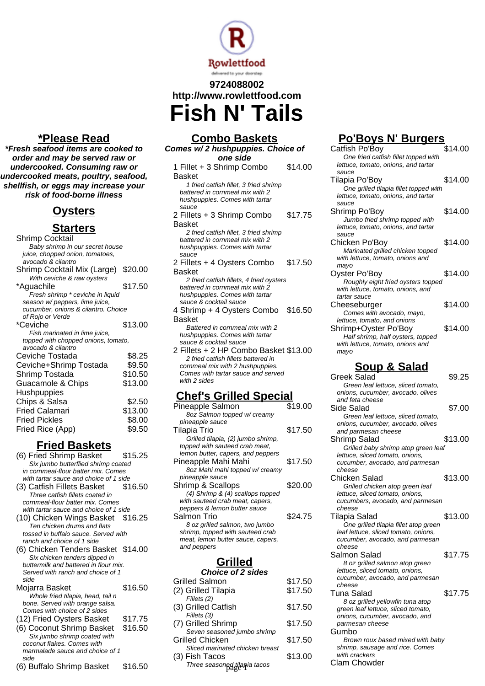

## **9724088002 http://www.rowlettfood.com Fish N' Tails**

**\*Please Read**

**\*Fresh seafood items are cooked to order and may be served raw or undercooked. Consuming raw or undercooked meats, poultry, seafood, shellfish, or eggs may increase your risk of food-borne illness**

## **Oysters**

#### **Starters**

| Shrimp Cocktail                     |         |
|-------------------------------------|---------|
| Baby shrimp in our secret house     |         |
| juice, chopped onion, tomatoes,     |         |
| avocado & cilantro                  |         |
| Shrimp Cocktail Mix (Large)         | \$20.00 |
| With ceviche & raw oysters          |         |
| *Aquachile                          | \$17.50 |
| Fresh shrimp * ceviche in liquid    |         |
| season w/ peppers, lime juice,      |         |
| cucumber, onions & cilantro. Choice |         |
| of Rojo or Verde                    |         |
| *Ceviche                            | \$13.00 |
| Fish marinated in lime juice,       |         |
| topped with chopped onions, tomato, |         |
| avocado & cilantro                  |         |
| Ceviche Tostada                     | \$8.25  |
| Ceviche+Shrimp Tostada              | \$9.50  |
| Shrimp Tostada                      | \$10.50 |
| Guacamole & Chips                   | \$13.00 |
| Hushpuppies                         |         |
| Chips & Salsa                       | \$2.50  |
| <b>Fried Calamari</b>               | \$13.00 |
| <b>Fried Pickles</b>                |         |
|                                     | \$8.00  |
| Fried Rice (App)                    | \$9.50  |

### **Fried Baskets**

- (6) Fried Shrimp Basket \$15.25 Six jumbo butterflied shrimp coated in cornmeal-flour batter mix. Comes with tartar sauce and choice of 1 side (3) Catfish Fillets Basket \$16.50 Three catfish fillets coated in
- cornmeal-flour batter mix. Comes with tartar sauce and choice of 1 side (10) Chicken Wings Basket \$16.25 Ten chicken drums and flats tossed in buffalo sauce. Served with ranch and choice of 1 side
- (6) Chicken Tenders Basket \$14.00 Six chicken tenders dipped in buttermilk and battered in flour mix. Served with ranch and choice of 1 side

| Mojarra Basket                    | \$16.50 |
|-----------------------------------|---------|
| Whole fried tilapia, head, tail n |         |
| bone. Served with orange salsa.   |         |
| Comes with choice of 2 sides      |         |
| (12) Fried Oysters Basket         | \$17.75 |
| (6) Coconut Shrimp Basket         | \$16.50 |
| Six jumbo shrimp coated with      |         |
| coconut flakes. Comes with        |         |
| marmalade sauce and choice of 1   |         |
| side                              |         |
| (6) Buffalo Shrimp Basket         | \$16.50 |

| <b>Combo Baskets</b>                                              |         |
|-------------------------------------------------------------------|---------|
| Comes w/2 hushpuppies. Choice of                                  |         |
| one side                                                          |         |
| 1 Fillet + 3 Shrimp Combo                                         | \$14.00 |
| Basket                                                            |         |
| 1 fried catfish fillet, 3 fried shrimp                            |         |
| battered in cornmeal mix with 2                                   |         |
| hushpuppies. Comes with tartar                                    |         |
| sauce                                                             |         |
| 2 Fillets + 3 Shrimp Combo                                        | \$17.75 |
| <b>Basket</b>                                                     |         |
| 2 fried catfish fillet, 3 fried shrimp                            |         |
| battered in cornmeal mix with 2                                   |         |
| hushpuppies. Comes with tartar                                    |         |
| sauce                                                             |         |
| 2 Fillets + 4 Oysters Combo                                       | \$17.50 |
| Basket                                                            |         |
| 2 fried catfish fillets, 4 fried oysters                          |         |
| battered in cornmeal mix with 2                                   |         |
| hushpuppies. Comes with tartar<br>sauce & cocktail sauce          |         |
| 4 Shrimp + 4 Oysters Combo \$16.50                                |         |
|                                                                   |         |
| <b>Basket</b>                                                     |         |
| Battered in cornmeal mix with 2<br>hushpuppies. Comes with tartar |         |
| sauce & cocktail sauce                                            |         |
| 2 Fillets + 2 HP Combo Basket \$13.00                             |         |
| 2 fried catfish fillets battered in                               |         |
| cornmeal mix with 2 hushpuppies.                                  |         |
| Comes with tartar sauce and served                                |         |
| with 2 sides                                                      |         |
|                                                                   |         |
| <u> Chef's Grilled Special</u>                                    |         |

| ,,,,,<br>,,,,,                     |         |
|------------------------------------|---------|
| Pineapple Salmon                   | \$19.00 |
| 8oz Salmon topped w/ creamy        |         |
| pineapple sauce                    |         |
| Tilapia Trio                       | \$17.50 |
| Grilled tilapia, (2) jumbo shrimp, |         |
| topped with sauteed crab meat,     |         |
| lemon butter, capers, and peppers  |         |
| Pineapple Mahi Mahi                | \$17.50 |
| 8oz Mahi mahi topped w/ creamy     |         |
| pineapple sauce                    |         |
| Shrimp & Scallops                  | \$20.00 |
| (4) Shrimp & (4) scallops topped   |         |
| with sauteed crab meat, capers,    |         |
| peppers & lemon butter sauce       |         |
| Salmon Trio                        | \$24.75 |
| 8 oz grilled salmon, two jumbo     |         |
| shrimp, topped with sauteed crab   |         |
| meat, lemon butter sauce, capers,  |         |
| and peppers                        |         |
|                                    |         |

## **Grilled**

|         | lettuce, sliced to                                       |
|---------|----------------------------------------------------------|
| \$17.50 | cucumber, avoca<br>cheese                                |
| \$17.50 | Tuna Salad                                               |
| \$17.50 | 8 oz grilled ye.<br>green leaf lettuc<br>onions, cucumbe |
| \$17.50 | parmesan chees                                           |
|         | Gumbo                                                    |
|         | Brown roux ba<br>shrimp, sausage                         |
| \$13.00 | with crackers<br><b>Clam Chowder</b>                     |
|         | \$17.50                                                  |

## **Po'Boys N' Burgers**

| Catfish Po'Boy                         | \$14.00 |
|----------------------------------------|---------|
| One fried catfish fillet topped with   |         |
| lettuce, tomato, onions, and tartar    |         |
| sauce                                  |         |
| Tilapia Po'Boy                         | \$14.00 |
| One grilled tilapia fillet topped with |         |
| lettuce, tomato, onions, and tartar    |         |
| sauce                                  |         |
| Shrimp Po'Boy                          | \$14.00 |
| Jumbo fried shrimp topped with         |         |
| lettuce, tomato, onions, and tartar    |         |
| sauce                                  |         |
| Chicken Po'Boy                         | \$14.00 |
| Marinated grilled chicken topped       |         |
| with lettuce, tomato, onions and       |         |
| mayo                                   |         |
| Oyster Po'Boy                          | \$14.00 |
| Roughly eight fried oysters topped     |         |
| with lettuce, tomato, onions, and      |         |
| tartar sauce                           |         |
| Cheeseburger                           | \$14.00 |
| Comes with avocado, mayo,              |         |
| lettuce, tomato, and onions            |         |
| Shrimp+Oyster Po'Boy                   | \$14.00 |
| Half shrimp, half oysters, topped      |         |
| with lettuce, tomato, onions and       |         |
| mayo                                   |         |

# **Soup & Salad**

| <b>Greek Salad</b>                    | \$9.25  |
|---------------------------------------|---------|
| Green leaf lettuce, sliced tomato,    |         |
| onions, cucumber, avocado, olives     |         |
| and feta cheese                       |         |
| Side Salad                            | \$7.00  |
| Green leaf lettuce, sliced tomato,    |         |
| onions, cucumber, avocado, olives     |         |
| and parmesan cheese                   |         |
| Shrimp Salad                          | \$13.00 |
| Grilled baby shrimp atop green leaf   |         |
| lettuce, sliced tomato, onions,       |         |
| cucumber, avocado, and parmesan       |         |
| cheese                                |         |
| Chicken Salad                         | \$13.00 |
| Grilled chicken atop green leaf       |         |
| lettuce, sliced tomato, onions,       |         |
| cucumbers, avocado, and parmesan      |         |
| cheese                                |         |
| Tilapia Salad                         | \$13.00 |
| One grilled tilapia fillet atop green |         |
| leaf lettuce, sliced tomato, onions,  |         |
| cucumber, avocado, and parmesan       |         |
| cheese                                |         |
| Salmon Salad                          | \$17.75 |
| 8 oz grilled salmon atop green        |         |
| lettuce, sliced tomato, onions,       |         |
| cucumber, avocado, and parmesan       |         |
| cheese                                |         |
| Tuna Salad                            | \$17.75 |
| 8 oz grilled yellowfin tuna atop      |         |
| green leaf lettuce, sliced tomato,    |         |
| onions, cucumber, avocado, and        |         |
| parmesan cheese                       |         |
| Gumbo                                 |         |
| Brown roux based mixed with baby      |         |
| shrimp, sausage and rice. Comes       |         |
| with crackers                         |         |
| Clam Chowder                          |         |
|                                       |         |